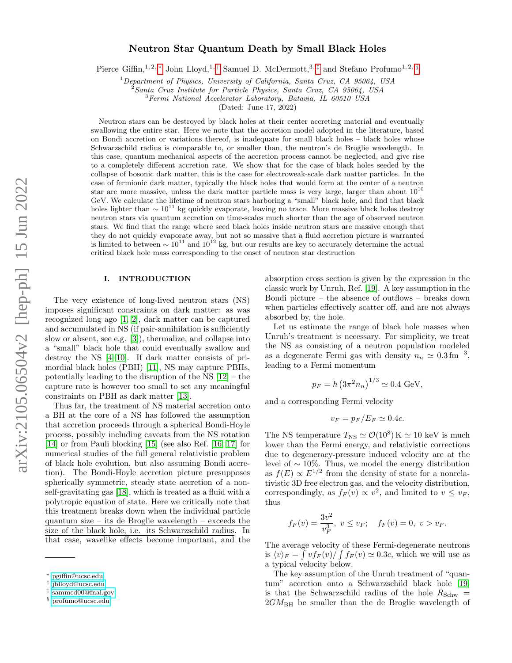# Neutron Star Quantum Death by Small Black Holes

Pierce Giffin,<sup>1, 2, \*</sup> John Lloyd,<sup>1,[†](#page-0-1)</sup> Samuel D. McDermott,<sup>3,[‡](#page-0-2)</sup> and Stefano Profumo<sup>1, 2, [§](#page-0-3)</sup>

 $1$ Department of Physics, University of California, Santa Cruz, CA 95064, USA

 $2\hat{S}$ Santa Cruz Institute for Particle Physics, Santa Cruz, CA 95064, USA

<sup>3</sup>Fermi National Accelerator Laboratory, Batavia, IL 60510 USA

(Dated: June 17, 2022)

Neutron stars can be destroyed by black holes at their center accreting material and eventually swallowing the entire star. Here we note that the accretion model adopted in the literature, based on Bondi accretion or variations thereof, is inadequate for small black holes – black holes whose Schwarzschild radius is comparable to, or smaller than, the neutron's de Broglie wavelength. In this case, quantum mechanical aspects of the accretion process cannot be neglected, and give rise to a completely different accretion rate. We show that for the case of black holes seeded by the collapse of bosonic dark matter, this is the case for electroweak-scale dark matter particles. In the case of fermionic dark matter, typically the black holes that would form at the center of a neutron star are more massive, unless the dark matter particle mass is very large, larger than about  $10^{10}$ GeV. We calculate the lifetime of neutron stars harboring a "small" black hole, and find that black holes lighter than  $\sim 10^{11}$  kg quickly evaporate, leaving no trace. More massive black holes destroy neutron stars via quantum accretion on time-scales much shorter than the age of observed neutron stars. We find that the range where seed black holes inside neutron stars are massive enough that they do not quickly evaporate away, but not so massive that a fluid accretion picture is warranted is limited to between  $\sim 10^{11}$  and  $10^{12}$  kg, but our results are key to accurately determine the actual critical black hole mass corresponding to the onset of neutron star destruction

### I. INTRODUCTION

The very existence of long-lived neutron stars (NS) imposes significant constraints on dark matter: as was recognized long ago [\[1,](#page-5-0) [2\]](#page-5-1), dark matter can be captured and accumulated in NS (if pair-annihilation is sufficiently slow or absent, see e.g. [\[3\]](#page-5-2)), thermalize, and collapse into a "small" black hole that could eventually swallow and destroy the NS [\[4](#page-5-3)[–10\]](#page-5-4). If dark matter consists of primordial black holes (PBH) [\[11\]](#page-5-5), NS may capture PBHs, potentially leading to the disruption of the NS [\[12\]](#page-5-6) – the capture rate is however too small to set any meaningful constraints on PBH as dark matter [\[13\]](#page-5-7).

Thus far, the treatment of NS material accretion onto a BH at the core of a NS has followed the assumption that accretion proceeds through a spherical Bondi-Hoyle process, possibly including caveats from the NS rotation [\[14\]](#page-5-8) or from Pauli blocking [\[15\]](#page-5-9) (see also Ref. [\[16,](#page-5-10) [17\]](#page-5-11) for numerical studies of the full general relativistic problem of black hole evolution, but also assuming Bondi accretion). The Bondi-Hoyle accretion picture presupposes spherically symmetric, steady state accretion of a nonself-gravitating gas [\[18\]](#page-5-12), which is treated as a fluid with a polytropic equation of state. Here we critically note that this treatment breaks down when the individual particle quantum size – its de Broglie wavelength – exceeds the size of the black hole, i.e. its Schwarzschild radius. In that case, wavelike effects become important, and the

absorption cross section is given by the expression in the classic work by Unruh, Ref. [\[19\]](#page-5-13). A key assumption in the Bondi picture – the absence of outflows – breaks down when particles effectively scatter off, and are not always absorbed by, the hole.

Let us estimate the range of black hole masses when Unruh's treatment is necessary. For simplicity, we treat the NS as consisting of a neutron population modeled as a degenerate Fermi gas with density  $n_n \simeq 0.3 \,\text{fm}^{-3}$ , leading to a Fermi momentum

$$
p_F = \hbar \left(3\pi^2 n_n\right)^{1/3} \simeq 0.4 \text{ GeV},
$$

and a corresponding Fermi velocity

$$
v_F = p_F/E_F \simeq 0.4c.
$$

The NS temperature  $T_{\text{NS}} \simeq \mathcal{O}(10^8) \,\text{K} \simeq 10 \,\text{keV}$  is much lower than the Fermi energy, and relativistic corrections due to degeneracy-pressure induced velocity are at the level of  $\sim$  10%. Thus, we model the energy distribution as  $f(E) \propto E^{1/2}$  from the density of state for a nonrelativistic 3D free electron gas, and the velocity distribution, correspondingly, as  $f_F(v) \propto v^2$ , and limited to  $v \leq v_F$ , thus

$$
f_F(v) = \frac{3v^2}{v_F^3}
$$
,  $v \le v_F$ ;  $f_F(v) = 0$ ,  $v > v_F$ .

The average velocity of these Fermi-degenerate neutrons is  $\langle v \rangle_F = \int v f_F(v) / \int f_F(v) \simeq 0.3c$ , which we will use as a typical velocity below.

The key assumption of the Unruh treatment of "quantum" accretion onto a Schwarzschild black hole [\[19\]](#page-5-13) is that the Schwarzschild radius of the hole  $R_{Schw}$  =  $2GM_{\rm BH}$  be smaller than the de Broglie wavelength of

<span id="page-0-0"></span><sup>∗</sup> [pgiffin@ucsc.edu](mailto:pgiffin@ucsc.edu)

<span id="page-0-1"></span><sup>†</sup> [jblloyd@ucsc.edu](mailto:jblloyd@ucsc.edu)

<span id="page-0-2"></span><sup>‡</sup> [sammcd00@fnal.gov](mailto:sammcd00@fnal.gov)

<span id="page-0-3"></span><sup>§</sup> [profumo@ucsc.edu](mailto:profumo@ucsc.edu)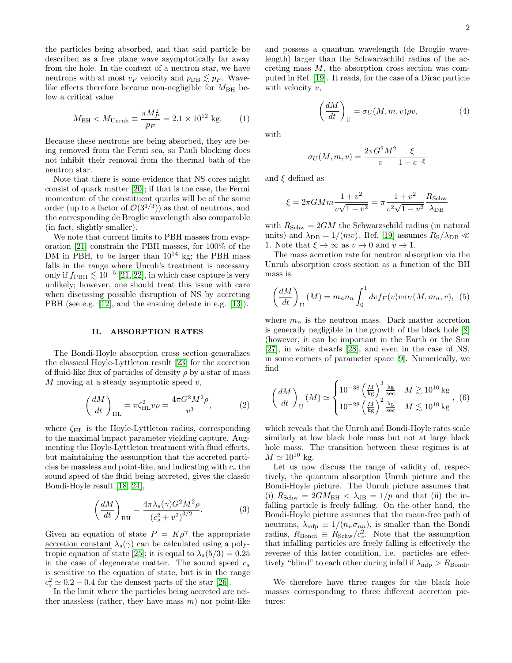the particles being absorbed, and that said particle be described as a free plane wave asymptotically far away from the hole. In the context of a neutron star, we have neutrons with at most  $v_F$  velocity and  $p_{DB} \lesssim p_F$ . Wavelike effects therefore become non-negligible for  $M_{\rm BH}$  below a critical value

$$
M_{\rm BH} < M_{\rm Unruh} \equiv \frac{\pi M_P^2}{p_F} = 2.1 \times 10^{12} \text{ kg.}
$$
 (1)

Because these neutrons are being absorbed, they are being removed from the Fermi sea, so Pauli blocking does not inhibit their removal from the thermal bath of the neutron star.

Note that there is some evidence that NS cores might consist of quark matter [\[20\]](#page-5-14); if that is the case, the Fermi momentum of the constituent quarks will be of the same order (up to a factor of  $\mathcal{O}(3^{1/3})$ ) as that of neutrons, and the corresponding de Broglie wavelength also comparable (in fact, slightly smaller).

We note that current limits to PBH masses from evaporation [\[21\]](#page-5-15) constrain the PBH masses, for 100% of the DM in PBH, to be larger than  $10^{14}$  kg; the PBH mass falls in the range where Unruh's treatment is necessary only if  $f_{\rm PBH} \lesssim 10^{-5}$  [\[21,](#page-5-15) [22\]](#page-5-16), in which case capture is very unlikely; however, one should treat this issue with care when discussing possible disruption of NS by accreting PBH (see e.g. [\[12\]](#page-5-6), and the ensuing debate in e.g. [\[13\]](#page-5-7)).

## II. ABSORPTION RATES

The Bondi-Hoyle absorption cross section generalizes the classical Hoyle-Lyttleton result [\[23\]](#page-5-17) for the accretion of fluid-like flux of particles of density  $\rho$  by a star of mass  $M$  moving at a steady asymptotic speed  $v$ ,

$$
\left(\frac{dM}{dt}\right)_{\text{HL}} = \pi \zeta_{\text{HL}}^2 v \rho = \frac{4\pi G^2 M^2 \rho}{v^3},\tag{2}
$$

where  $\zeta_{HL}$  is the Hoyle-Lyttleton radius, corresponding to the maximal impact parameter yielding capture. Augmenting the Hoyle-Lyttleton treatment with fluid effects, but maintaining the assumption that the accreted particles be massless and point-like, and indicating with  $c_s$  the sound speed of the fluid being accreted, gives the classic Bondi-Hoyle result [\[18,](#page-5-12) [24\]](#page-5-18),

<span id="page-1-0"></span>
$$
\left(\frac{dM}{dt}\right)_{\text{BH}} = \frac{4\pi\lambda_s(\gamma)G^2M^2\rho}{\left(c_s^2 + v^2\right)^{3/2}}.
$$
 (3)

Given an equation of state  $P = K\rho^{\gamma}$  the appropriate accretion constant  $\lambda_s(\gamma)$  can be calculated using a poly-tropic equation of state [\[25\]](#page-5-19); it is equal to  $\lambda_s(5/3) = 0.25$ in the case of degenerate matter. The sound speed  $c_s$ is sensitive to the equation of state, but is in the range  $c_s^2 \simeq 0.2 - 0.4$  for the densest parts of the star [\[26\]](#page-5-20).

In the limit where the particles being accreted are neither massless (rather, they have mass  $m$ ) nor point-like and possess a quantum wavelength (de Broglie wavelength) larger than the Schwarzschild radius of the accreting mass  $M$ , the absorption cross section was computed in Ref. [\[19\]](#page-5-13). It reads, for the case of a Dirac particle with velocity  $v$ ,

$$
\left(\frac{dM}{dt}\right)_U = \sigma_U(M, m, v)\rho v,\tag{4}
$$

with

$$
\sigma_U(M,m,v) = \frac{2\pi G^2 M^2}{v} \frac{\xi}{1 - e^{-\xi}}
$$

and  $\xi$  defined as

$$
\xi = 2\pi GMm \frac{1+v^2}{v\sqrt{1-v^2}} = \pi \frac{1+v^2}{v^2\sqrt{1-v^2}} \frac{R_{\text{Schw}}}{\lambda_{\text{DB}}}
$$

with  $R_{Schw} = 2GM$  the Schwarzschild radius (in natural units) and  $\lambda_{\text{DB}} = 1/(mv)$ . Ref. [\[19\]](#page-5-13) assumes  $R_{\text{S}}/\lambda_{\text{DB}} \ll$ 1. Note that  $\xi \to \infty$  as  $v \to 0$  and  $v \to 1$ .

The mass accretion rate for neutron absorption via the Unruh absorption cross section as a function of the BH mass is

$$
\left(\frac{dM}{dt}\right)_U(M) = m_n n_n \int_0^1 dv f_F(v) v \sigma_U(M, m_n, v), \tag{5}
$$

where  $m_n$  is the neutron mass. Dark matter accretion is generally negligible in the growth of the black hole [\[8\]](#page-5-21) (however, it can be important in the Earth or the Sun [\[27\]](#page-5-22), in white dwarfs [\[28\]](#page-5-23), and even in the case of NS, in some corners of parameter space [\[9\]](#page-5-24). Numerically, we find

$$
\left(\frac{dM}{dt}\right)_{\text{U}}(M) \simeq \begin{cases} 10^{-38} \left(\frac{M}{\text{kg}}\right)^3 \frac{\text{kg}}{\text{sec}} & M \gtrsim 10^{10} \text{kg} \\ 10^{-28} \left(\frac{M}{\text{kg}}\right)^2 \frac{\text{kg}}{\text{sec}} & M \lesssim 10^{10} \text{kg} \end{cases}
$$
, (6)

which reveals that the Unruh and Bondi-Hoyle rates scale similarly at low black hole mass but not at large black hole mass. The transition between these regimes is at  $M \simeq 10^{10}$  kg.

Let us now discuss the range of validity of, respectively, the quantum absorption Unruh picture and the Bondi-Hoyle picture. The Unruh picture assumes that (i)  $R_{Schw} = 2GM_{BH} < \lambda_{dB} = 1/p$  and that (ii) the infalling particle is freely falling. On the other hand, the Bondi-Hoyle picture assumes that the mean-free path of neutrons,  $\lambda_{\text{mfp}} \equiv 1/(n_n \sigma_{nn})$ , is smaller than the Bondi radius,  $R_{\text{Bondi}} \equiv R_{\text{Schw}}/c_s^2$ . Note that the assumption that infalling particles are freely falling is effectively the reverse of this latter condition, i.e. particles are effectively "blind" to each other during infall if  $\lambda_{\text{mfp}} > R_{\text{Bondi}}$ .

We therefore have three ranges for the black hole masses corresponding to three different accretion pictures: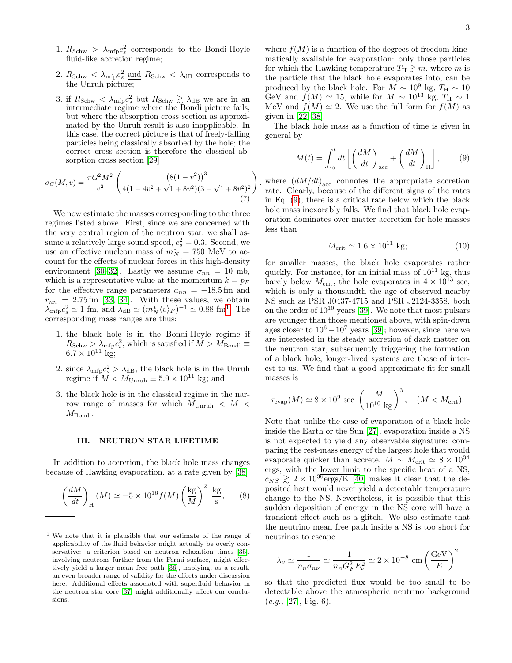- 1.  $R_{Schw} > \lambda_{\text{mfp}} c_s^2$  corresponds to the Bondi-Hoyle fluid-like accretion regime;
- 2.  $R_{\text{Schw}} < \lambda_{\text{mfp}} c_s^2$  and  $R_{\text{Schw}} < \lambda_{\text{dB}}$  corresponds to the Unruh picture;
- 3. if  $R_{Schw} < \lambda_{\rm mfp} c_s^2$  but  $R_{Schw} \gtrsim \lambda_{\rm dB}$  we are in an intermediate regime where the Bondi picture fails, but where the absorption cross section as approximated by the Unruh result is also inapplicable. In this case, the correct picture is that of freely-falling particles being classically absorbed by the hole; the correct cross section is therefore the classical absorption cross section [\[29\]](#page-6-0)

$$
\sigma_C(M, v) = \frac{\pi G^2 M^2}{v^2} \left( \frac{\left(8(1 - v^2)\right)^3}{4(1 - 4v^2 + \sqrt{1 + 8v^2})(3 - \sqrt{1 + 8v^2})^2} \right)
$$
\n(7)

We now estimate the masses corresponding to the three regimes listed above. First, since we are concerned with the very central region of the neutron star, we shall assume a relatively large sound speed,  $c_s^2 = 0.3$ . Second, we use an effective nucleon mass of  $m_N^* = 750$  MeV to account for the effects of nuclear forces in this high-density environment [\[30](#page-6-1)[–32\]](#page-6-2). Lastly we assume  $\sigma_{nn} = 10$  mb, which is a representative value at the momentum  $k = p_F$ for the effective range parameters  $a_{nn} = -18.5$  fm and  $r_{nn}$  = 2.75 fm [\[33,](#page-6-3) [34\]](#page-6-4). With these values, we obtain  $\lambda_{\rm mfp} c_s^2 \simeq 1$  $\lambda_{\rm mfp} c_s^2 \simeq 1$  fm, and  $\lambda_{\rm dB} \simeq (m_N^* \langle v \rangle_F)^{-1} \simeq 0.88$  fm<sup>1</sup>. The corresponding mass ranges are thus:

- 1. the black hole is in the Bondi-Hoyle regime if  $R_{Schw} > \lambda_{\text{mfp}} c_s^2$ , which is satisfied if  $M > M_{\text{Bondi}} \equiv$  $6.7 \times 10^{11}$  kg;
- 2. since  $\lambda_{\rm mfp} c_s^2 > \lambda_{\rm dB}$ , the black hole is in the Unruh regime if  $M < M_{\text{Unruh}} \equiv 5.9 \times 10^{11}$  kg; and
- 3. the black hole is in the classical regime in the narrow range of masses for which  $M_{\text{Unruh}} < M$  $M_{\rm Bondi}$ .

### III. NEUTRON STAR LIFETIME

In addition to accretion, the black hole mass changes because of Hawking evaporation, at a rate given by [\[38\]](#page-6-5)

<span id="page-2-2"></span>
$$
\left(\frac{dM}{dt}\right)_{\text{H}} (M) \simeq -5 \times 10^{16} f(M) \left(\frac{\text{kg}}{M}\right)^2 \frac{\text{kg}}{\text{s}}, \quad (8)
$$

where  $f(M)$  is a function of the degrees of freedom kinematically available for evaporation: only those particles for which the Hawking temperature  $T_H \gtrsim m$ , where m is the particle that the black hole evaporates into, can be produced by the black hole. For  $M \sim 10^9$  kg,  $T_H \sim 10^9$ GeV and  $f(M) \simeq 15$ , while for  $M \sim 10^{13}$  kg,  $T_H \sim 1$ MeV and  $f(M) \simeq 2$ . We use the full form for  $f(M)$  as given in [\[22,](#page-5-16) [38\]](#page-6-5).

The black hole mass as a function of time is given in general by

<span id="page-2-1"></span>
$$
M(t) = \int_{t_0}^t dt \left[ \left( \frac{dM}{dt} \right)_{\text{acc}} + \left( \frac{dM}{dt} \right)_{\text{H}} \right],\tag{9}
$$

where  $(dM/dt)_{\text{acc}}$  connotes the appropriate accretion rate. Clearly, because of the different signs of the rates in Eq. [\(9\)](#page-2-1), there is a critical rate below which the black hole mass inexorably falls. We find that black hole evaporation dominates over matter accretion for hole masses less than

<span id="page-2-3"></span>
$$
M_{\text{crit}} \simeq 1.6 \times 10^{11} \text{ kg};\tag{10}
$$

for smaller masses, the black hole evaporates rather quickly. For instance, for an initial mass of  $10^{11}$  kg, thus barely below  $M_{\text{crit}}$ , the hole evaporates in  $4 \times 10^{13}$  sec, which is only a thousandth the age of observed nearby NS such as PSR J0437-4715 and PSR J2124-3358, both on the order of  $10^{10}$  years [\[39\]](#page-6-9). We note that most pulsars are younger than those mentioned above, with spin-down ages closer to  $10^6 - 10^7$  years [\[39\]](#page-6-9); however, since here we are interested in the steady accretion of dark matter on the neutron star, subsequently triggering the formation of a black hole, longer-lived systems are those of interest to us. We find that a good approximate fit for small masses is

$$
\tau_{\rm evap}(M) \simeq 8 \times 10^9~{\rm sec}~\left(\frac{M}{10^{10}~{\rm kg}}\right)^3,~~(M < M_{\rm crit}).
$$

Note that unlike the case of evaporation of a black hole inside the Earth or the Sun [\[27\]](#page-5-22), evaporation inside a NS is not expected to yield any observable signature: comparing the rest-mass energy of the largest hole that would evaporate quicker than accrete,  $M \sim M_{\text{crit}} \simeq 8 \times 10^{34}$ ergs, with the lower limit to the specific heat of a NS,  $c_{NS} \gtrsim 2 \times 10^{36} \text{ergs/K}$  [\[40\]](#page-6-10) makes it clear that the deposited heat would never yield a detectable temperature change to the NS. Nevertheless, it is possible that this sudden deposition of energy in the NS core will have a transient effect such as a glitch. We also estimate that the neutrino mean free path inside a NS is too short for neutrinos to escape

$$
\lambda_{\nu} \simeq \frac{1}{n_{n}\sigma_{n\nu}} \simeq \frac{1}{n_{n}G_{F}^{2}E_{\nu}^{2}} \simeq 2 \times 10^{-8} \textrm{ cm} \left(\frac{\textrm{GeV}}{E}\right)^{2}
$$

so that the predicted flux would be too small to be detectable above the atmospheric neutrino background  $(e.g., [27], Fig. 6).$  $(e.g., [27], Fig. 6).$  $(e.g., [27], Fig. 6).$ 

<span id="page-2-0"></span><sup>1</sup> We note that it is plausible that our estimate of the range of applicability of the fluid behavior might actually be overly con-servative: a criterion based on neutron relaxation times [\[35\]](#page-6-6), involving neutrons further from the Fermi surface, might effectively yield a larger mean free path [\[36\]](#page-6-7), implying, as a result, an even broader range of validity for the effects under discussion here. Additional effects associated with superfluid behavior in the neutron star core [\[37\]](#page-6-8) might additionally affect our conclusions.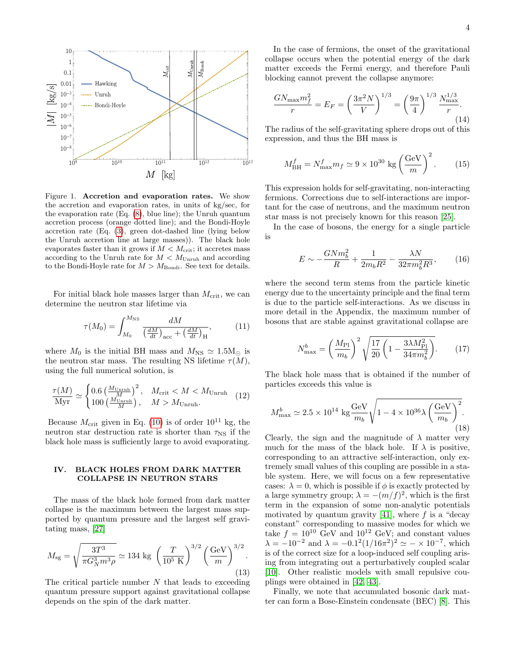

Figure 1. Accretion and evaporation rates. We show the accretion and evaporation rates, in units of kg/sec, for the evaporation rate (Eq. [\(8\)](#page-2-2), blue line); the Unruh quantum accretion process (orange dotted line); and the Bondi-Hoyle accretion rate (Eq. [\(3\)](#page-1-0), green dot-dashed line (lying below the Unruh accretion line at large masses)). The black hole evaporates faster than it grows if  $M < M_{\rm crit}$ ; it accretes mass according to the Unruh rate for  $M < M_{\text{Unruh}}$  and according to the Bondi-Hoyle rate for  $M > M_{\text{Bondi}}$ . See text for details.

For initial black hole masses larger than  $M_{\rm crit}$ , we can determine the neutron star lifetime via

$$
\tau(M_0) = \int_{M_0}^{M_{\rm NS}} \frac{dM}{\left(\frac{dM}{dt}\right)_{\rm acc} + \left(\frac{dM}{dt}\right)_{\rm H}},\tag{11}
$$

where  $M_0$  is the initial BH mass and  $M_{\text{NS}} \simeq 1.5 \text{M}_{\odot}$  is the neutron star mass. The resulting NS lifetime  $\tau(M)$ , using the full numerical solution, is

$$
\frac{\tau(M)}{\text{Myr}} \simeq \begin{cases} 0.6 \left( \frac{M_{\text{Unruh}}}{M} \right)^2, & M_{\text{crit}} < M < M_{\text{Unruh}} \\ 100 \left( \frac{M_{\text{Unruh}}}{M} \right), & M > M_{\text{Unruh}}. \end{cases} \tag{12}
$$

Because  $M_{\text{crit}}$  given in Eq. [\(10\)](#page-2-3) is of order 10<sup>11</sup> kg, the neutron star destruction rate is shorter than  $\tau_{\text{NS}}$  if the black hole mass is sufficiently large to avoid evaporating.

### IV. BLACK HOLES FROM DARK MATTER COLLAPSE IN NEUTRON STARS

The mass of the black hole formed from dark matter collapse is the maximum between the largest mass supported by quantum pressure and the largest self gravitating mass, [\[27\]](#page-5-22)

$$
M_{\rm sg} = \sqrt{\frac{3T^3}{\pi G_N^3 m^3 \rho}} \simeq 134 \text{ kg } \left(\frac{T}{10^5 \text{ K}}\right)^{3/2} \left(\frac{\text{GeV}}{m}\right)^{3/2}.
$$
\n(13)

The critical particle number  $N$  that leads to exceeding quantum pressure support against gravitational collapse depends on the spin of the dark matter.

In the case of fermions, the onset of the gravitational collapse occurs when the potential energy of the dark matter exceeds the Fermi energy, and therefore Pauli blocking cannot prevent the collapse anymore:

$$
\frac{GN_{\max}m_f^2}{r} = E_F = \left(\frac{3\pi^2 N}{V}\right)^{1/3} = \left(\frac{9\pi}{4}\right)^{1/3} \frac{N_{\max}^{1/3}}{r}.
$$
\n(14)

The radius of the self-gravitating sphere drops out of this expression, and thus the BH mass is

<span id="page-3-1"></span>
$$
M_{\rm BH}^f = N_{\rm max}^f m_f \simeq 9 \times 10^{30} \text{ kg} \left(\frac{\text{GeV}}{m}\right)^2. \qquad (15)
$$

This expression holds for self-gravitating, non-interacting fermions. Corrections due to self-interactions are important for the case of neutrons, and the maximum neutron star mass is not precisely known for this reason [\[25\]](#page-5-19).

In the case of bosons, the energy for a single particle is

$$
E \sim -\frac{GNm_b^2}{R} + \frac{1}{2m_bR^2} - \frac{\lambda N}{32\pi m_b^2 R^3},\qquad(16)
$$

where the second term stems from the particle kinetic energy due to the uncertainty principle and the final term is due to the particle self-interactions. As we discuss in more detail in the Appendix, the maximum number of bosons that are stable against gravitational collapse are

$$
N_{\text{max}}^b = \left(\frac{M_{\text{Pl}}}{m_b}\right)^2 \sqrt{\frac{17}{20} \left(1 - \frac{3\lambda M_{\text{Pl}}^2}{34\pi m_b^2}\right)}.
$$
 (17)

The black hole mass that is obtained if the number of particles exceeds this value is

<span id="page-3-0"></span>
$$
M_{\text{max}}^b \simeq 2.5 \times 10^{14} \text{ kg} \frac{\text{GeV}}{m_b} \sqrt{1 - 4 \times 10^{36} \lambda \left(\frac{\text{GeV}}{m_b}\right)^2}.
$$
\n(18)

Clearly, the sign and the magnitude of  $\lambda$  matter very much for the mass of the black hole. If  $\lambda$  is positive, corresponding to an attractive self-interaction, only extremely small values of this coupling are possible in a stable system. Here, we will focus on a few representative cases:  $\lambda = 0$ , which is possible if  $\phi$  is exactly protected by a large symmetry group;  $\lambda = -(m/f)^2$ , which is the first term in the expansion of some non-analytic potentials motivated by quantum gravity [\[41\]](#page-6-11), where  $f$  is a "decay" constant" corresponding to massive modes for which we take  $f = 10^{10}$  GeV and  $10^{12}$  GeV; and constant values  $\lambda = -10^{-2}$  and  $\lambda = -0.1^2 (1/16\pi^2)^2 \simeq - \times 10^{-7}$ , which is of the correct size for a loop-induced self coupling arising from integrating out a perturbatively coupled scalar [\[10\]](#page-5-4). Other realistic models with small repulsive couplings were obtained in [\[42,](#page-6-12) [43\]](#page-6-13).

Finally, we note that accumulated bosonic dark matter can form a Bose-Einstein condensate (BEC) [\[8\]](#page-5-21). This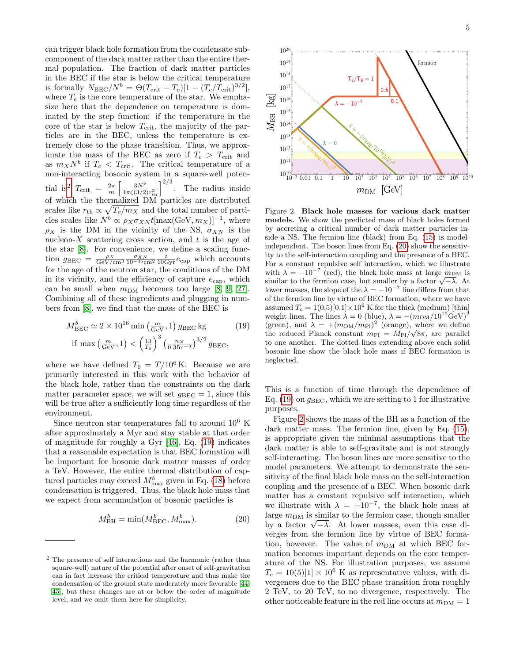can trigger black hole formation from the condensate subcomponent of the dark matter rather than the entire thermal population. The fraction of dark matter particles in the BEC if the star is below the critical temperature is formally  $N_{BEC}/N^b = \Theta(T_{\text{crit}} - T_c)[1 - (T_c/T_{\text{crit}})^{3/2}],$ where  $T_c$  is the core temperature of the star. We emphasize here that the dependence on temperature is dominated by the step function: if the temperature in the core of the star is below  $T_{\text{crit}}$ , the majority of the particles are in the BEC, unless the temperature is extremely close to the phase transition. Thus, we approximate the mass of the BEC as zero if  $T_c > T_{\text{crit}}$  and as  $m_X N^b$  if  $T_c < T_{\text{crit}}$ . The critical temperature of a non-interacting bosonic system in a square-well poten-tial is<sup>[2](#page-4-0)</sup>  $T_{\text{crit}} = \frac{2\pi}{m} \left[ \frac{3N^b}{4\pi\zeta(3/2)r_{\text{th}}^3} \right]^{2/3}$ . The radius inside of which the thermalized DM particles are distributed scales like  $r_{\text{th}} \propto \sqrt{T_c/m_X}$  and the total number of particles scales like  $N^b \propto \rho_X \sigma_{X} N t[\max(\text{GeV}, m_X)]^{-1}$ , where  $\rho_X$  is the DM in the vicinity of the NS,  $\sigma_{XN}$  is the nucleon- $X$  scattering cross section, and  $t$  is the age of the star [\[8\]](#page-5-21). For convenience, we define a scaling function  $g_{BEC} = \frac{\rho_X}{\text{GeV/cm}^3} \frac{\sigma_{XN}}{10^{-45}\text{cm}^2} \frac{t}{10\text{Gyr}} e_{\text{cap}}$  which accounts for the age of the neutron star, the conditions of the DM in its vicinity, and the efficiency of capture  $e_{\text{cap}}$ , which can be small when  $m_{DM}$  becomes too large [\[8,](#page-5-21) [9,](#page-5-24) [27\]](#page-5-22). Combining all of these ingredients and plugging in numbers from [\[8\]](#page-5-21), we find that the mass of the BEC is

<span id="page-4-1"></span>
$$
M_{\text{BEC}}^{b} \simeq 2 \times 10^{16} \min\left(\frac{m}{\text{GeV}}, 1\right) g_{\text{BEC}} \text{kg} \qquad (19)
$$
  
if  $\max\left(\frac{m}{\text{GeV}}, 1\right) < \left(\frac{13}{T_6}\right)^3 \left(\frac{n_N}{0.3 \text{fm}^{-3}}\right)^{3/2} g_{\text{BEC}},$ 

where we have defined  $T_6 = T/10^6$  K. Because we are primarily interested in this work with the behavior of the black hole, rather than the constraints on the dark matter parameter space, we will set  $g_{BEC} = 1$ , since this will be true after a sufficiently long time regardless of the environment.

Since neutron star temperatures fall to around  $10^6$  K after approximately a Myr and stay stable at that order of magnitude for roughly a Gyr [\[46\]](#page-6-14), Eq. [\(19\)](#page-4-1) indicates that a reasonable expectation is that BEC formation will be important for bosonic dark matter masses of order a TeV. However, the entire thermal distribution of captured particles may exceed  $M_{\text{max}}^b$  given in Eq. [\(18\)](#page-3-0) before condensation is triggered. Thus, the black hole mass that we expect from accumulation of bosonic particles is

<span id="page-4-2"></span>
$$
M_{\rm BH}^b = \min(M_{\rm BEC}^b, M_{\rm max}^b). \tag{20}
$$



<span id="page-4-3"></span>Figure 2. Black hole masses for various dark matter models. We show the predicted mass of black holes formed by accreting a critical number of dark matter particles inside a NS. The fermion line (black) from Eq. [\(15\)](#page-3-1) is modelindependent. The boson lines from Eq. [\(20\)](#page-4-2) show the sensitivity to the self-interaction coupling and the presence of a BEC. For a constant repulsive self interaction, which we illustrate with  $\lambda = -10^{-7}$  (red), the black hole mass at large  $m_{\text{DM}}$  is with  $\lambda = -10$  (rea), the black hole mass at large  $m_{\text{DM}}$  is<br>similar to the fermion case, but smaller by a factor  $\sqrt{-\lambda}$ . At lower masses, the slope of the  $\lambda = -10^{-7}$  line differs from that of the fermion line by virtue of BEC formation, where we have assumed  $T_c = 1(0.5)[0.1] \times 10^6$  K for the thick (medium) [thin] weight lines. The lines  $\lambda = 0$  (blue),  $\lambda = -(m_{\rm DM}/10^{15} \text{GeV})^2$ (green), and  $\lambda = +(m_{\rm DM}/m_{\rm Pl})^2$  (orange), where we define the reduced Planck constant  $m_{\rm Pl} = M_{\rm Pl}/\sqrt{8\pi}$ , are parallel to one another. The dotted lines extending above each solid bosonic line show the black hole mass if BEC formation is neglected.

This is a function of time through the dependence of Eq. [\(19\)](#page-4-1) on  $g_{BEC}$ , which we are setting to 1 for illustrative purposes.

Figure [2](#page-4-3) shows the mass of the BH as a function of the dark matter mass. The fermion line, given by Eq. [\(15\)](#page-3-1), is appropriate given the minimal assumptions that the dark matter is able to self-gravitate and is not strongly self-interacting. The boson lines are more sensitive to the model parameters. We attempt to demonstrate the sensitivity of the final black hole mass on the self-interaction coupling and the presence of a BEC. When bosonic dark matter has a constant repulsive self interaction, which we illustrate with  $\lambda = -10^{-7}$ , the black hole mass at large  $m<sub>DM</sub>$  is similar to the fermion case, though smaller arge  $m_{\text{DM}}$  is similar to the rermion case, though smaller<br>by a factor  $\sqrt{-\lambda}$ . At lower masses, even this case diverges from the fermion line by virtue of BEC formation, however. The value of  $m_{\text{DM}}$  at which BEC formation becomes important depends on the core temperature of the NS. For illustration purposes, we assume  $T_c = 10(5)[1] \times 10^6$  K as representative values, with divergences due to the BEC phase transition from roughly 2 TeV, to 20 TeV, to no divergence, respectively. The other noticeable feature in the red line occurs at  $m_{DM} = 1$ 

<span id="page-4-0"></span><sup>2</sup> The presence of self interactions and the harmonic (rather than square-well) nature of the potential after onset of self-gravitation can in fact increase the critical temperature and thus make the condensation of the ground state moderately more favorable [\[44,](#page-6-15) [45\]](#page-6-16), but these changes are at or below the order of magnitude level, and we omit them here for simplicity.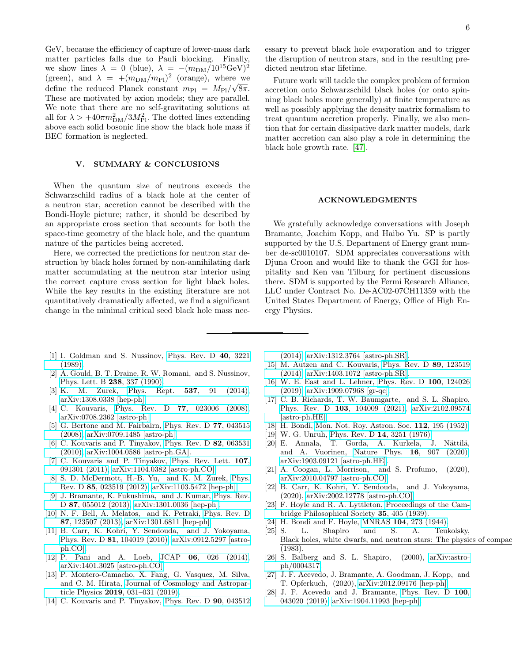GeV, because the efficiency of capture of lower-mass dark matter particles falls due to Pauli blocking. Finally, we show lines  $\lambda = 0$  (blue),  $\lambda = -(m_{\rm DM}/10^{15} \text{GeV})^2$ (green), and  $\lambda = +(m_{\rm DM}/m_{\rm Pl})^2$  (orange), where we define the reduced Planck constant  $m_{\text{Pl}} = M_{\text{Pl}}/\sqrt{8\pi}$ . These are motivated by axion models; they are parallel. We note that there are no self-gravitating solutions at all for  $\lambda > +40\pi m_{\rm DM}^2/3M_{\rm Pl}^2$ . The dotted lines extending above each solid bosonic line show the black hole mass if BEC formation is neglected.

# V. SUMMARY & CONCLUSIONS

When the quantum size of neutrons exceeds the Schwarzschild radius of a black hole at the center of a neutron star, accretion cannot be described with the Bondi-Hoyle picture; rather, it should be described by an appropriate cross section that accounts for both the space-time geometry of the black hole, and the quantum nature of the particles being accreted.

Here, we corrected the predictions for neutron star destruction by black holes formed by non-annihilating dark matter accumulating at the neutron star interior using the correct capture cross section for light black holes. While the key results in the existing literature are not quantitatively dramatically affected, we find a significant change in the minimal critical seed black hole mass necessary to prevent black hole evaporation and to trigger the disruption of neutron stars, and in the resulting predicted neutron star lifetime.

Future work will tackle the complex problem of fermion accretion onto Schwarzschild black holes (or onto spinning black holes more generally) at finite temperature as well as possibly applying the density matrix formalism to treat quantum accretion properly. Finally, we also mention that for certain dissipative dark matter models, dark matter accretion can also play a role in determining the black hole growth rate. [\[47\]](#page-6-17).

#### ACKNOWLEDGMENTS

We gratefully acknowledge conversations with Joseph Bramante, Joachim Kopp, and Haibo Yu. SP is partly supported by the U.S. Department of Energy grant number de-sc0010107. SDM appreciates conversations with Djuna Croon and would like to thank the GGI for hospitality and Ken van Tilburg for pertinent discussions there. SDM is supported by the Fermi Research Alliance, LLC under Contract No. De-AC02-07CH11359 with the United States Department of Energy, Office of High Energy Physics.

- <span id="page-5-0"></span>[1] I. Goldman and S. Nussinov, [Phys. Rev. D](https://doi.org/10.1103/PhysRevD.40.3221) 40, 3221 [\(1989\).](https://doi.org/10.1103/PhysRevD.40.3221)
- <span id="page-5-1"></span>[2] A. Gould, B. T. Draine, R. W. Romani, and S. Nussinov, [Phys. Lett. B](https://doi.org/10.1016/0370-2693(90)91745-W) 238, 337 (1990).
- <span id="page-5-2"></span>[3] K. M. Zurek, Phys. Rept. 537[, 91 \(2014\),](https://doi.org/10.1016/j.physrep.2013.12.001) [arXiv:1308.0338 \[hep-ph\].](http://arxiv.org/abs/1308.0338)
- <span id="page-5-3"></span>[4] C. Kouvaris, Phys. Rev. D **77**[, 023006 \(2008\),](https://doi.org/10.1103/PhysRevD.77.023006) [arXiv:0708.2362 \[astro-ph\].](http://arxiv.org/abs/0708.2362)
- [5] G. Bertone and M. Fairbairn, [Phys. Rev. D](https://doi.org/10.1103/PhysRevD.77.043515) 77, 043515 [\(2008\),](https://doi.org/10.1103/PhysRevD.77.043515) [arXiv:0709.1485 \[astro-ph\].](http://arxiv.org/abs/0709.1485)
- [6] C. Kouvaris and P. Tinyakov, [Phys. Rev. D](https://doi.org/10.1103/PhysRevD.82.063531) 82, 063531 [\(2010\),](https://doi.org/10.1103/PhysRevD.82.063531) [arXiv:1004.0586 \[astro-ph.GA\].](http://arxiv.org/abs/1004.0586)
- [7] C. Kouvaris and P. Tinyakov, [Phys. Rev. Lett.](https://doi.org/10.1103/PhysRevLett.107.091301) 107, [091301 \(2011\),](https://doi.org/10.1103/PhysRevLett.107.091301) [arXiv:1104.0382 \[astro-ph.CO\].](http://arxiv.org/abs/1104.0382)
- <span id="page-5-21"></span>[8] S. D. McDermott, H.-B. Yu, and K. M. Zurek, [Phys.](https://doi.org/10.1103/PhysRevD.85.023519) Rev. D 85[, 023519 \(2012\),](https://doi.org/10.1103/PhysRevD.85.023519) [arXiv:1103.5472 \[hep-ph\].](http://arxiv.org/abs/1103.5472)
- <span id="page-5-24"></span>[9] J. Bramante, K. Fukushima, and J. Kumar, [Phys. Rev.](https://doi.org/10.1103/PhysRevD.87.055012) D 87[, 055012 \(2013\),](https://doi.org/10.1103/PhysRevD.87.055012) [arXiv:1301.0036 \[hep-ph\].](http://arxiv.org/abs/1301.0036)
- <span id="page-5-4"></span>[10] N. F. Bell, A. Melatos, and K. Petraki, [Phys. Rev. D](https://doi.org/10.1103/PhysRevD.87.123507) 87[, 123507 \(2013\),](https://doi.org/10.1103/PhysRevD.87.123507) [arXiv:1301.6811 \[hep-ph\].](http://arxiv.org/abs/1301.6811)
- <span id="page-5-5"></span>[11] B. Carr, K. Kohri, Y. Sendouda, and J. Yokoyama, Phys. Rev. D 81[, 104019 \(2010\),](https://doi.org/10.1103/PhysRevD.81.104019) [arXiv:0912.5297 \[astro](http://arxiv.org/abs/0912.5297)[ph.CO\].](http://arxiv.org/abs/0912.5297)
- <span id="page-5-6"></span>[12] P. Pani and A. Loeb, JCAP **06**[, 026 \(2014\),](https://doi.org/10.1088/1475-7516/2014/06/026) [arXiv:1401.3025 \[astro-ph.CO\].](http://arxiv.org/abs/1401.3025)
- <span id="page-5-7"></span>[13] P. Montero-Camacho, X. Fang, G. Vasquez, M. Silva, and C. M. Hirata, [Journal of Cosmology and Astropar](https://doi.org/ 10.1088/1475-7516/2019/08/031)ticle Physics 2019[, 031–031 \(2019\).](https://doi.org/ 10.1088/1475-7516/2019/08/031)
- <span id="page-5-8"></span>[14] C. Kouvaris and P. Tinyakov, [Phys. Rev. D](https://doi.org/10.1103/PhysRevD.90.043512) **90**, 043512

[\(2014\),](https://doi.org/10.1103/PhysRevD.90.043512) [arXiv:1312.3764 \[astro-ph.SR\].](http://arxiv.org/abs/1312.3764)

- <span id="page-5-9"></span>[15] M. Autzen and C. Kouvaris, [Phys. Rev. D](https://doi.org/10.1103/PhysRevD.89.123519) 89, 123519 [\(2014\),](https://doi.org/10.1103/PhysRevD.89.123519) [arXiv:1403.1072 \[astro-ph.SR\].](http://arxiv.org/abs/1403.1072)
- <span id="page-5-10"></span>[16] W. E. East and L. Lehner, [Phys. Rev. D](https://doi.org/10.1103/PhysRevD.100.124026) 100, 124026 [\(2019\),](https://doi.org/10.1103/PhysRevD.100.124026) [arXiv:1909.07968 \[gr-qc\].](http://arxiv.org/abs/1909.07968)
- <span id="page-5-11"></span>[17] C. B. Richards, T. W. Baumgarte, and S. L. Shapiro, Phys. Rev. D 103[, 104009 \(2021\),](https://doi.org/10.1103/PhysRevD.103.104009) [arXiv:2102.09574](http://arxiv.org/abs/2102.09574) [\[astro-ph.HE\].](http://arxiv.org/abs/2102.09574)
- <span id="page-5-12"></span>[18] H. Bondi, [Mon. Not. Roy. Astron. Soc.](https://doi.org/10.1093/mnras/112.2.195) 112, 195 (1952).
- <span id="page-5-13"></span>[19] W. G. Unruh, [Phys. Rev. D](https://doi.org/10.1103/PhysRevD.14.3251) 14, 3251 (1976).
- <span id="page-5-14"></span>[20] E. Annala, T. Gorda, A. Kurkela, J. Nättilä, and A. Vuorinen, Nature Phys. 16[, 907 \(2020\),](https://doi.org/ 10.1038/s41567-020-0914-9) [arXiv:1903.09121 \[astro-ph.HE\].](http://arxiv.org/abs/1903.09121)
- <span id="page-5-15"></span>[21] A. Coogan, L. Morrison, and S. Profumo, (2020), [arXiv:2010.04797 \[astro-ph.CO\].](http://arxiv.org/abs/2010.04797)
- <span id="page-5-16"></span>[22] B. Carr, K. Kohri, Y. Sendouda, and J. Yokoyama, (2020), [arXiv:2002.12778 \[astro-ph.CO\].](http://arxiv.org/abs/2002.12778)
- <span id="page-5-17"></span>[23] F. Hoyle and R. A. Lyttleton, [Proceedings of the Cam](https://doi.org/10.1017/S0305004100021150)[bridge Philosophical Society](https://doi.org/10.1017/S0305004100021150) 35, 405 (1939).
- <span id="page-5-18"></span>[24] H. Bondi and F. Hoyle, MNRAS 104[, 273 \(1944\).](https://doi.org/10.1093/mnras/104.5.273)
- <span id="page-5-19"></span>[25] S. L. Shapiro and S. A. Teukolsky, Black holes, white dwarfs, and neutron stars: The physics of compact (1983).
- <span id="page-5-20"></span>[26] S. Balberg and S. L. Shapiro, (2000), [arXiv:astro](http://arxiv.org/abs/astro-ph/0004317)[ph/0004317.](http://arxiv.org/abs/astro-ph/0004317)
- <span id="page-5-22"></span>[27] J. F. Acevedo, J. Bramante, A. Goodman, J. Kopp, and T. Opferkuch, (2020), [arXiv:2012.09176 \[hep-ph\].](http://arxiv.org/abs/2012.09176)
- <span id="page-5-23"></span>[28] J. F. Acevedo and J. Bramante, [Phys. Rev. D](https://doi.org/10.1103/PhysRevD.100.043020) 100, [043020 \(2019\),](https://doi.org/10.1103/PhysRevD.100.043020) [arXiv:1904.11993 \[hep-ph\].](http://arxiv.org/abs/1904.11993)